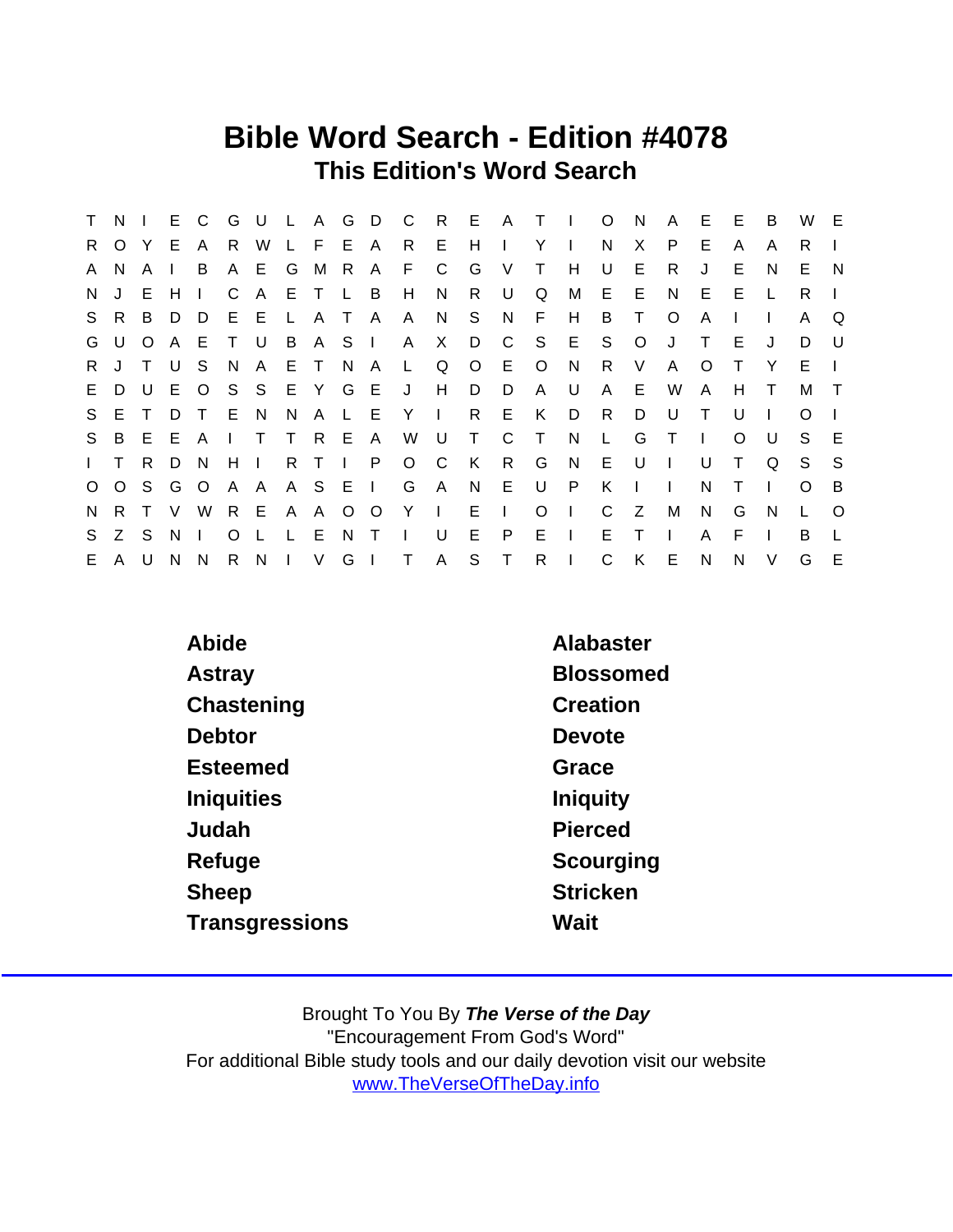## Bible Word Search - Edition #4078 This Edition's Word Search

| $\mathsf{T}$ | $N \mid$     |              | E.  | $\mathsf{C}$ | G            |             |              |              |     | U L A G D C  |                 |              |         |                 | R E A T I    |              | $\circ$      | <sup>N</sup> | A            | E.           | E        | B            | W            | E       |
|--------------|--------------|--------------|-----|--------------|--------------|-------------|--------------|--------------|-----|--------------|-----------------|--------------|---------|-----------------|--------------|--------------|--------------|--------------|--------------|--------------|----------|--------------|--------------|---------|
| R.           | $\Omega$     | Y.           | - E | A            | R.           | W           |              | L F E A      |     |              | R               | - E -        | H       |                 | Y            | $\mathbf{L}$ | N            | X.           | P.           | E            | A        | A            | R.           |         |
| A            | N.           | A            |     | B            |              | A E G M     |              |              | R   | $\mathsf{A}$ | F.              | C            | G       | V               | $\top$       | H            | U            | E            | R.           | J            | E        | N            | E.           | - N     |
| N.           | $\mathbf{J}$ | E.           | H   | $\mathbf{L}$ | C            | A           |              | ETLB         |     |              | H               | N            | R.      | U               | Q            | М            | E.           | -E           | N.           | E.           | E        |              | R.           |         |
|              | S R          | B D          |     | D            |              | E E L       |              | $\mathsf{A}$ | T A |              | $\mathsf{A}$    | N.           | S.      | N               | F            | H            | B            | $\top$       | $\circ$      | A            |          | $\mathbf{L}$ | A            | Q       |
|              | G U          | $\circ$      | A   | E            | $\top$       | $\cup$      |              | B A S I      |     |              | A               | X.           | D       | $\overline{C}$  |              | S E          | S            | $\circ$      | J            | $\top$       | E        | $\mathbf{J}$ | D.           | - U     |
| R.           | J            | $\mathsf{T}$ | . U | S.           | N.           | A           |              | E T          | N A |              | $\mathsf{L}$    | Q            | $\circ$ | E.              | $\circ$      | N,           | R.           | V            | A            | $\Omega$     | T        | Y            | E.           |         |
| E.           |              | D U          |     | E O          |              |             |              |              |     |              | S S E Y G E J H |              | D       | D               | $\mathsf{A}$ | - U          | A            | E            | W            | $\mathsf{A}$ | H        | $\top$       | M            | $\top$  |
| S.           | E.           | T            | D   | $\top$       | E N          |             | N.           |              |     |              | A L E Y I       |              | R.      | E.              | K            | D            | R.           | D            | U            | $\top$       | U        |              | $\Omega$     |         |
| S.           |              | B E E        |     | $\mathsf{A}$ | $\mathbf{I}$ | $\top$      |              | T R E A      |     |              | W               | $\cup$       | $\top$  | C.              | $\top$       | N            | L.           | G            | $\top$       | $\mathbf{I}$ | $\Omega$ | U            | S.           | -E      |
| $\mathbf{L}$ | $\top$       | R.           | D   | <sup>N</sup> |              | $H$ $\perp$ |              | R T I P      |     |              | $O$ $C$         |              | K       | $R_{\parallel}$ | G            | N            | E.           | U            | $\mathbf{L}$ | U            | $\top$   | Q            | S.           | S.      |
| $\circ$      |              |              |     | O S G O      |              | A A         |              | A S E I      |     |              | G               | A            | N       | E               | U            | - P          | K            | $\Box$       |              | N            |          |              | O            | B       |
| N.           | R T          |              | V   | W            |              | R E A A O O |              |              |     |              | $Y \cup$        |              | E.      | $\mathbf{I}$    | $\circ$      | $\mathbf{L}$ | C            | Z            | M            | N.           | G        | N            | $\mathbf{L}$ | $\circ$ |
| S.           | Z S          |              | N.  | $\mathbf{I}$ | $\Omega$     |             | $\mathbf{L}$ | - E          | N.  | $\top$       | $\mathbf{L}$    | U.           | E       | $\mathsf{P}$    | E.           | $\Box$       | E            | Τ            | I.           | A            | F        |              | B.           |         |
|              | E A          | U            | N.  | N.           |              | R N I       |              | $\vee$       | G I |              | $\top$          | $\mathsf{A}$ | S       | $\mathsf{T}$    |              | $R \mid$     | $\mathsf{C}$ | K            | E            | N            | N        | $\vee$       | G            | E       |

| Abide             | Alabaster        |
|-------------------|------------------|
| Astray            | <b>Blossomed</b> |
| Chastening        | Creation         |
| <b>Debtor</b>     | Devote           |
| <b>Esteemed</b>   | Grace            |
| <b>Iniquities</b> | Iniquity         |
| Judah             | Pierced          |
| Refuge            | Scourging        |
| <b>Sheep</b>      | <b>Stricken</b>  |
| Transgressions    | Wait             |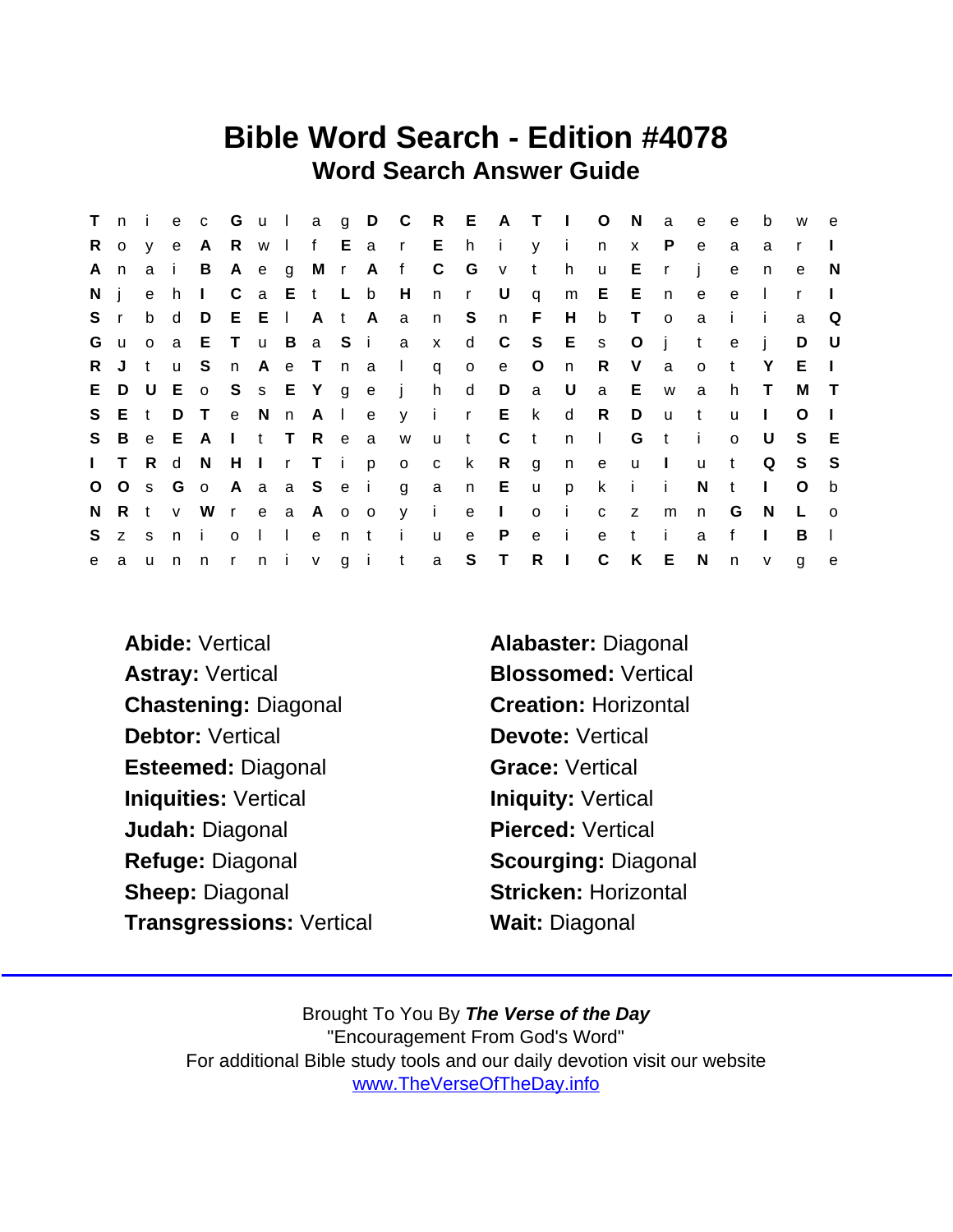## Bible Word Search - Edition #4078 Word Search Answer Guide

|              | Tni     |          |         |                         |         |                     |             |       |                           |              |              |       |                | e c G u l a g D C R E A T I O |              | - N          | a            | e            | e            | b            | W            | e.             |
|--------------|---------|----------|---------|-------------------------|---------|---------------------|-------------|-------|---------------------------|--------------|--------------|-------|----------------|-------------------------------|--------------|--------------|--------------|--------------|--------------|--------------|--------------|----------------|
| R.           |         | o v e    |         |                         |         |                     |             |       | A R w I f E a r E h i y i |              |              |       |                |                               | n            | $\mathbf{x}$ | P            | e            | a            | a            | r            | $\mathbf{I}$   |
| A            | n       |          | a i     |                         | B A e g |                     |             |       | M r A f C G v             |              |              |       | $-t$           | h                             | $\mathsf{u}$ | E            | $\mathsf{r}$ | - i          | $\mathbf e$  | n.           | e            | <sup>N</sup>   |
| Ni           |         | e h      |         | $\mathbf{I}$            |         |                     | C a E t L b |       | H                         |              | n r U        |       | $\mathsf{q}$   | m E E                         |              |              | n            | e            | e            | $\perp$      | $\mathsf{r}$ | $\mathbf{I}$   |
| S r          |         | b d      |         | D                       | E E     |                     | A t A       |       | a                         | n S          |              | n F   |                | H                             | b            | $\top$       | $\circ$      | a            | $\mathbf{i}$ | - i          | a            | Q              |
| G u          |         | $\circ$  | a a     |                         |         |                     |             |       | E T u B a S i a x         |              |              |       |                | d C S E s                     |              | $\circ$      | j            | t            | $\mathbf{e}$ | j            | D            | - U            |
| R.           | J       | $-t$     | u u     | S.                      |         |                     |             |       | n Ae T n a I q            |              | $\circ$      | e     | $\overline{O}$ | n                             | R            | $\vee$       | a            | $\mathsf{o}$ | $\mathbf{t}$ | Y            | E.           | $\mathbf{I}$   |
|              |         |          |         | E D U E o S s E Y g e j |         |                     |             |       |                           | h d D        |              |       | a U            |                               |              | a E          | <b>W</b>     | a            | h.           | $\top$       | M            | $\top$         |
|              | S E t D |          |         | $\top$                  |         |                     |             |       | e N n A l e y i r E k     |              |              |       |                | $\mathsf{d}$                  | R            | D            | <b>u</b>     | $-t$         | u            | $\mathbf{I}$ | $\Omega$     | - 1            |
| S.           |         |          |         | B e E A I t T R e a     |         |                     |             |       | W                         |              | u t C        |       | $-t$           |                               | n I          | G            | $-t$         | $\mathbf{I}$ | $\Omega$     | U            | S.           | - E            |
| $\mathbf{L}$ |         | T R d    |         | N.                      |         |                     |             |       | H I r T i p o c           |              | $\mathbf{k}$ | $R$ g |                | n e                           |              | $\mathsf{u}$ | $\sim 1$ .   | <b>u</b>     | $\mathbf{t}$ | Q            | S            | - S            |
|              |         |          |         | O O s G o A a a S e i g |         |                     |             |       |                           |              | a n E u      |       |                | p                             | $\mathsf{k}$ | i i          |              | N            | $\mathbf{t}$ | $\mathbf{L}$ | $\circ$      | b              |
| N.           |         |          | R t v W |                         |         |                     | r e a A o o |       | y i                       |              | $e \quad 1$  |       | $\circ$        | $\mathbf{I}$                  | $\mathbf{C}$ | z            | m            | n            | G            | N.           | L            | $\overline{O}$ |
| S.           | Z S     |          | n i     |                         |         | $0 \mid \cdot \mid$ |             | e n t | $\mathbf{i}$              | $\mathsf{u}$ | e            | P     | $\mathbf{e}$   | - i -                         | e            | t            | j.           | a            | $\mathbf{f}$ | $\mathbf{L}$ | B            | $\perp$        |
| e            | a       | <b>u</b> | n       | n r n i v g i t         |         |                     |             |       |                           | $\mathbf{a}$ | S T          |       | $R$            |                               | $\mathbf C$  | K            | $E_{\perp}$  | $\mathsf{N}$ | n            | $\mathsf{v}$ | $\mathsf{q}$ | e              |

Abide: Vertical **Alabaster:** Diagonal Astray: Vertical Blossomed: Vertical Chastening: Diagonal Creation: Horizontal Debtor: Vertical Devote: Vertical Esteemed: Diagonal Grace: Vertical Iniquities: Vertical **Initial Initial** Iniquity: Vertical Judah: Diagonal Pierced: Vertical Refuge: Diagonal Scourging: Diagonal Sheep: Diagonal Sheep: Stricken: Horizontal Transgressions: Vertical Wait: Diagonal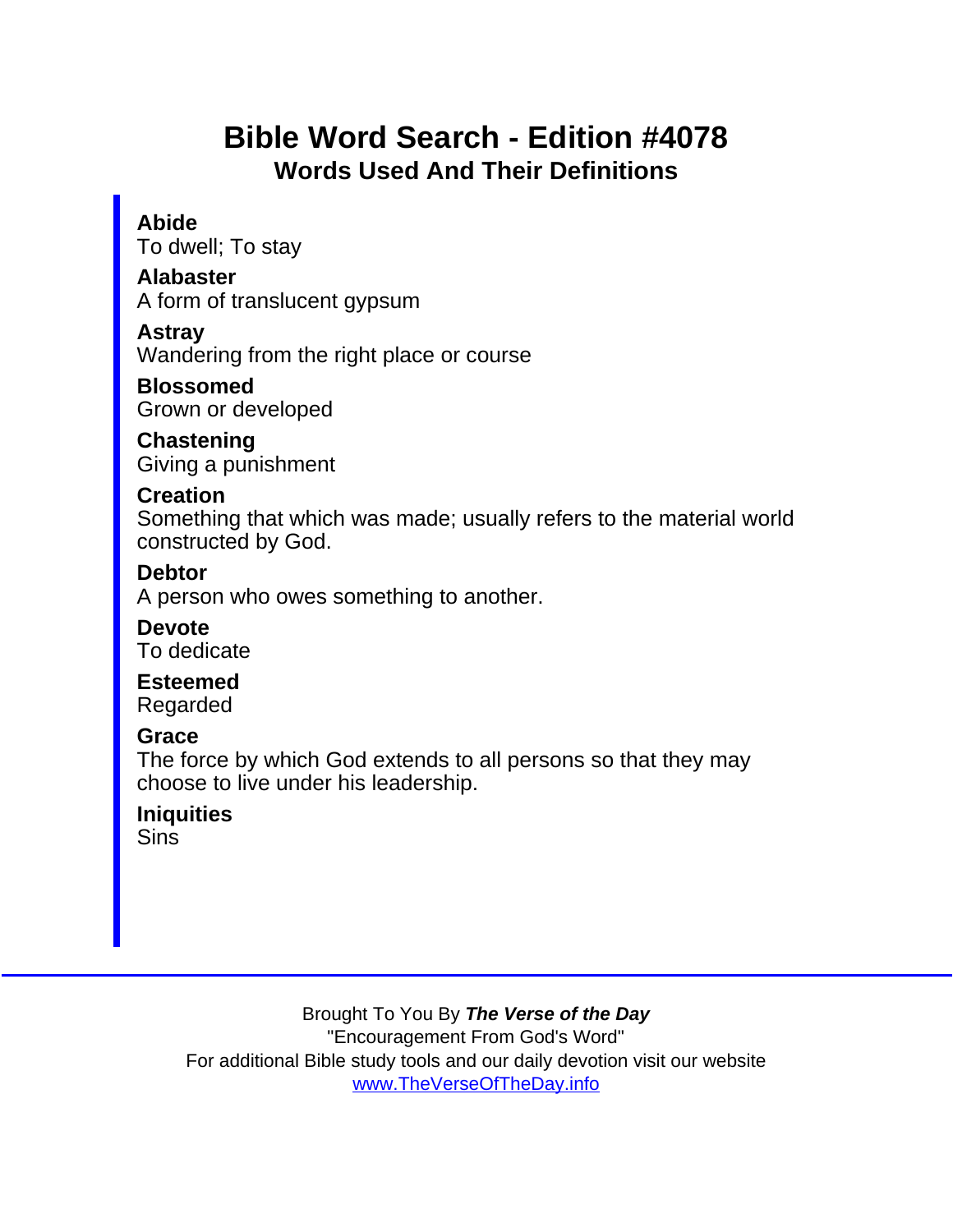# Bible Word Search - Edition #4078 Words Used And Their Definitions

#### Abide

To dwell; To stay

Alabaster A form of translucent gypsum

Astray

Wandering from the right place or course

Blossomed Grown or developed

**Chastening** Giving a punishment

**Creation** 

Something that which was made; usually refers to the material world constructed by God.

**Debtor** 

A person who owes something to another.

Devote To dedicate

Esteemed Regarded

**Grace** 

The force by which God extends to all persons so that they may choose to live under his leadership.

**Iniquities Sins**